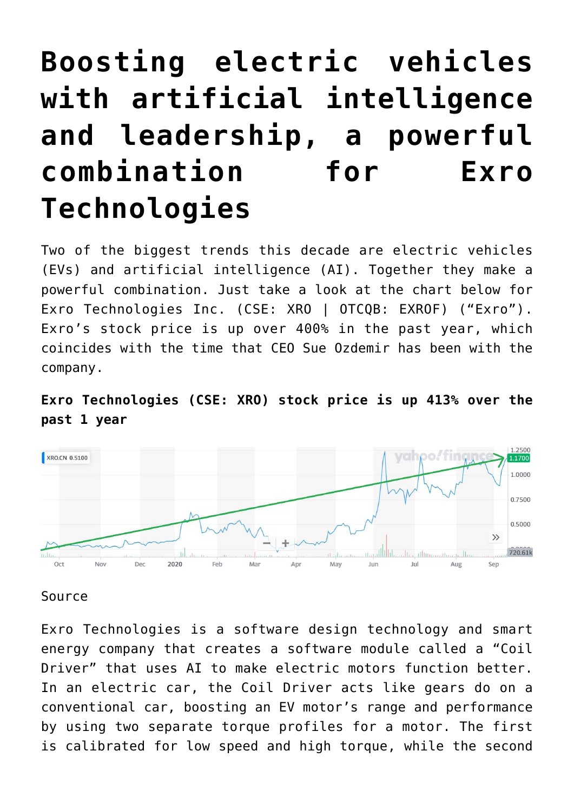# **[Boosting electric vehicles](https://investorintel.com/markets/cleantech/cleantech-intel/boosting-electric-vehicles-with-artificial-intelligence-and-leadership-a-powerful-combination-for-exro-technologies/) [with artificial intelligence](https://investorintel.com/markets/cleantech/cleantech-intel/boosting-electric-vehicles-with-artificial-intelligence-and-leadership-a-powerful-combination-for-exro-technologies/) [and leadership, a powerful](https://investorintel.com/markets/cleantech/cleantech-intel/boosting-electric-vehicles-with-artificial-intelligence-and-leadership-a-powerful-combination-for-exro-technologies/) [combination for Exro](https://investorintel.com/markets/cleantech/cleantech-intel/boosting-electric-vehicles-with-artificial-intelligence-and-leadership-a-powerful-combination-for-exro-technologies/) [Technologies](https://investorintel.com/markets/cleantech/cleantech-intel/boosting-electric-vehicles-with-artificial-intelligence-and-leadership-a-powerful-combination-for-exro-technologies/)**

Two of the biggest trends this decade are electric vehicles (EVs) and artificial intelligence (AI). Together they make a powerful combination. Just take a look at the chart below for [Exro Technologies Inc.](https://investorintel.com/iintel-members/exro-technologies-inc/) (CSE: XRO | OTCQB: EXROF) ("Exro"). Exro's stock price is up over [400%](https://www.bloomberg.com/quote/XRO:CN) in the past year, which coincides with the time that CEO Sue Ozdemir has been with the company.





## [Source](https://au.finance.yahoo.com/chart/XRO.CN)

Exro Technologies is a software design technology and smart energy company that creates a software module called a "Coil Driver" that uses AI to make electric motors function better. In an electric car, the Coil Driver acts like gears do on a conventional car, boosting an EV motor's range and performance by using two separate torque profiles for a motor. The first is calibrated for low speed and high torque, while the second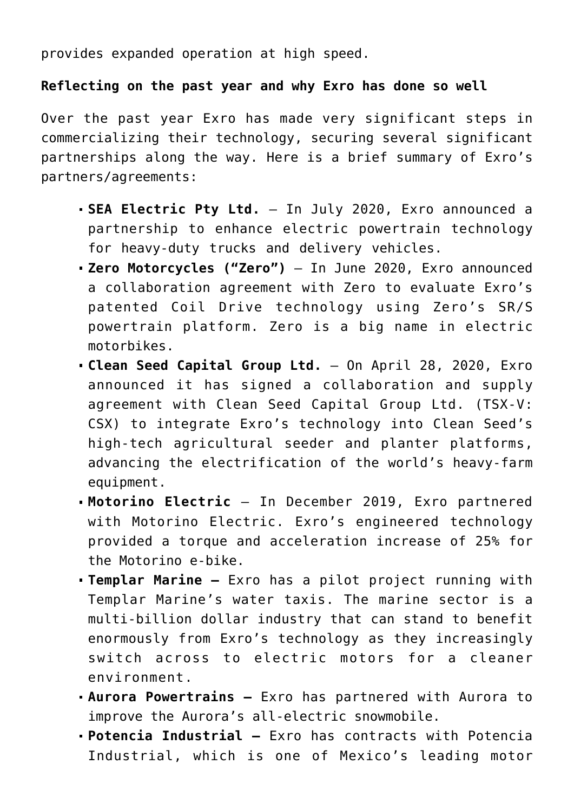provides expanded operation at high speed.

### **Reflecting on the past year and why Exro has done so well**

Over the past year Exro has made very significant steps in commercializing their technology, securing several significant partnerships along the way. Here is a brief summary of Exro's partners/agreements:

- **SEA Electric Pty Ltd.** In July 2020, Exro [announced](https://investorintel.com/sectors/cleantech/cleantech-news/exro-technologies-partners-global-commercial-100-electric-vehicle-leader-sea-electric/) a partnership to enhance electric powertrain technology for heavy-duty trucks and delivery vehicles.
- **Zero Motorcycles ("Zero")** In June 2020, Exro [announced](https://www.exro.com/news/zero-motorcycles-exro-technologies-to-collaborate-in-developing-advanced-coil-drive-powertrain-for-the-electric-motorcycle/) a collaboration agreement with Zero to evaluate Exro's patented Coil Drive technology using Zero's SR/S powertrain platform. Zero is a big name in electric motorbikes.
- **Clean Seed Capital Group Ltd.**  On April 28, 2020, Exro [announced](https://www.exro.com/news/exro-signs-deal-with-clean-seed-capital-to-advance-electrification-of-farm-equipment/) it has signed a collaboration and supply agreement with Clean Seed Capital Group Ltd. (TSX-V: CSX) to integrate Exro's technology into Clean Seed's high-tech agricultural seeder and planter platforms, advancing the electrification of the world's heavy-farm equipment.
- **Motorino Electric** In December 2019, Exro [partnered](https://www.exro.com/news/exro-dramatically-improves-e-bike-performance-1/) with Motorino Electric. Exro's engineered technology provided a torque and acceleration increase of 25% for the Motorino e-bike.
- **Templar Marine** Exro has [a pilot project](https://www.exro.com/news/exro-partners-with-e-boat-leader-in-multi-billion-dollar-e-marine-sector/) running with Templar Marine's water taxis. The marine sector is a multi-billion dollar industry that can stand to benefit enormously from Exro's technology as they increasingly switch across to electric motors for a cleaner environment.
- **Aurora Powertrains** Exro has [partnered](https://www.exro.com/news/exro-enters-emerging-electric-snowmobile-sector/) with Aurora to improve the Aurora's all-electric snowmobile.
- **Potencia Industrial** Exro has [contracts](https://www.exro.com/partners/potencia/) with Potencia Industrial, which is one of Mexico's leading motor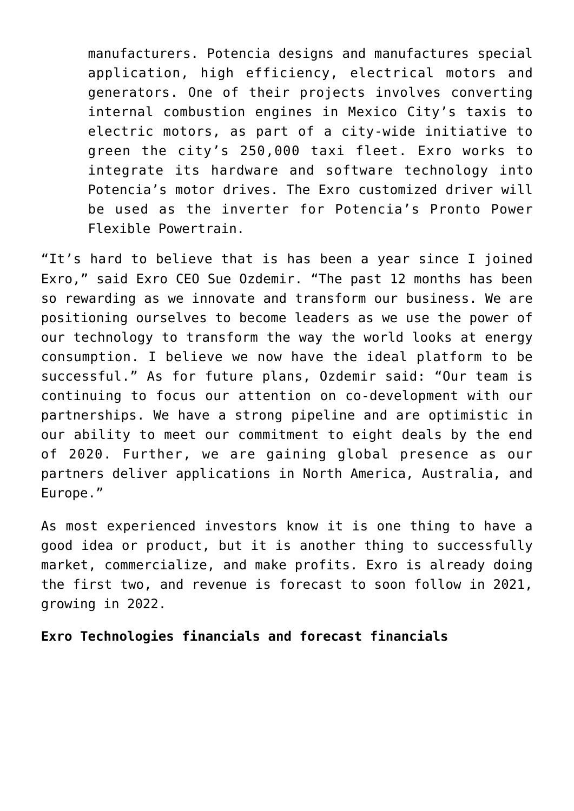manufacturers. Potencia designs and manufactures special application, high efficiency, electrical motors and generators. One of their projects involves converting internal combustion engines in Mexico City's taxis to electric motors, as part of a city-wide initiative to green the city's 250,000 taxi fleet. Exro works to integrate its hardware and software technology into Potencia's motor drives. The Exro customized driver [will](https://investorintel.com/sectors/cleantech/cleantech-news/exro-technologies-inc-update-partnership-potencia/) [be used as the inverter](https://investorintel.com/sectors/cleantech/cleantech-news/exro-technologies-inc-update-partnership-potencia/) for Potencia's Pronto Power Flexible Powertrain.

"It's hard to believe that is has been a year since I joined Exro," [said](https://investorintel.com/sectors/technology/technology-news/exros-ceo-corporate-update-letter/) Exro CEO Sue Ozdemir. "The past 12 months has been so rewarding as we innovate and transform our business. We are positioning ourselves to become leaders as we use the power of our technology to transform the way the world looks at energy consumption. I believe we now have the ideal platform to be successful." As for future plans, Ozdemir said: "Our team is continuing to focus our attention on co-development with our partnerships. We have a strong pipeline and are optimistic in our ability to meet our commitment to eight deals by the end of 2020. Further, we are gaining global presence as our partners deliver applications in North America, Australia, and Europe."

As most experienced investors know it is one thing to have a good idea or product, but it is another thing to successfully market, commercialize, and make profits. Exro is already doing the first two, and revenue is forecast to soon follow in 2021, growing in 2022.

**Exro Technologies financials and forecast financials**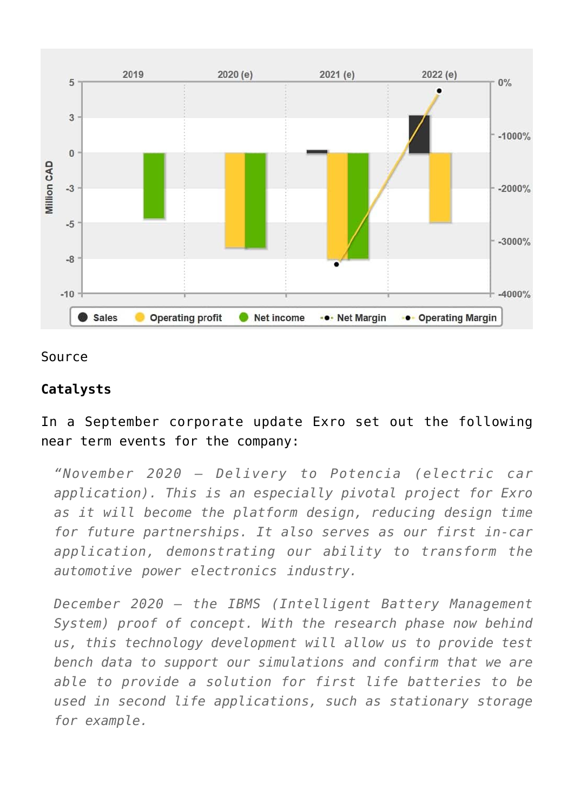

#### [Source](https://www.marketscreener.com/quote/stock/EXRO-TECHNOLOGIES-INC-37581245/financials/)

#### **Catalysts**

## In a September corporate update Exro set out the following [near term events](https://investorintel.com/sectors/technology/technology-news/exros-ceo-corporate-update-letter/) for the company:

*"November 2020 – Delivery to Potencia (electric car application). This is an especially pivotal project for Exro as it will become the platform design, reducing design time for future partnerships. It also serves as our first in-car application, demonstrating our ability to transform the automotive power electronics industry.*

*December 2020 – the IBMS (Intelligent Battery Management System) proof of concept. With the research phase now behind us, this technology development will allow us to provide test bench data to support our simulations and confirm that we are able to provide a solution for first life batteries to be used in second life applications, such as stationary storage for example.*